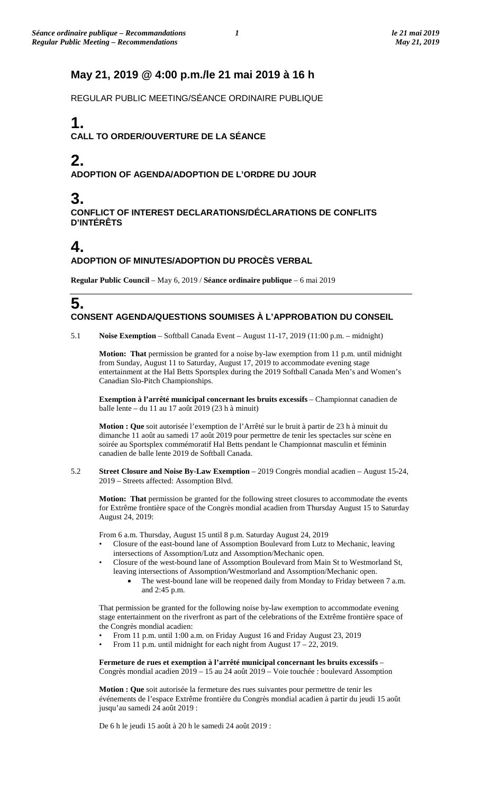## **May 21, 2019 @ 4:00 p.m./le 21 mai 2019 à 16 h**

REGULAR PUBLIC MEETING/SÉANCE ORDINAIRE PUBLIQUE

# **1.**

### **CALL TO ORDER/OUVERTURE DE LA SÉANCE**

# **2.**

### **ADOPTION OF AGENDA/ADOPTION DE L'ORDRE DU JOUR**

# **3.**

**CONFLICT OF INTEREST DECLARATIONS/DÉCLARATIONS DE CONFLITS D'INTÉRÊTS**

# **4.**

### **ADOPTION OF MINUTES/ADOPTION DU PROCÈS VERBAL**

**Regular Public Council** – May 6, 2019 / **Séance ordinaire publique** – 6 mai 2019

## **5. CONSENT AGENDA/QUESTIONS SOUMISES À L'APPROBATION DU CONSEIL**

5.1 **Noise Exemption** – Softball Canada Event – August 11-17, 2019 (11:00 p.m. – midnight)

**Motion: That** permission be granted for a noise by-law exemption from 11 p.m. until midnight from Sunday, August 11 to Saturday, August 17, 2019 to accommodate evening stage entertainment at the Hal Betts Sportsplex during the 2019 Softball Canada Men's and Women's Canadian Slo-Pitch Championships.

**Exemption à l'arrêté municipal concernant les bruits excessifs** – Championnat canadien de balle lente – du 11 au 17 août 2019 (23 h à minuit)

**Motion : Que** soit autorisée l'exemption de l'Arrêté sur le bruit à partir de 23 h à minuit du dimanche 11 août au samedi 17 août 2019 pour permettre de tenir les spectacles sur scène en soirée au Sportsplex commémoratif Hal Betts pendant le Championnat masculin et féminin canadien de balle lente 2019 de Softball Canada.

5.2 **Street Closure and Noise By-Law Exemption** – 2019 Congrès mondial acadien – August 15-24, 2019 – Streets affected: Assomption Blvd.

**Motion: That** permission be granted for the following street closures to accommodate the events for Extrême frontière space of the Congrès mondial acadien from Thursday August 15 to Saturday August 24, 2019:

From 6 a.m. Thursday, August 15 until 8 p.m. Saturday August 24, 2019

- Closure of the east-bound lane of Assomption Boulevard from Lutz to Mechanic, leaving intersections of Assomption/Lutz and Assomption/Mechanic open.
- Closure of the west-bound lane of Assomption Boulevard from Main St to Westmorland St, leaving intersections of Assomption/Westmorland and Assomption/Mechanic open.
	- The west-bound lane will be reopened daily from Monday to Friday between 7 a.m. and 2:45 p.m.

That permission be granted for the following noise by-law exemption to accommodate evening stage entertainment on the riverfront as part of the celebrations of the Extrême frontière space of the Congrès mondial acadien:

- From 11 p.m. until 1:00 a.m. on Friday August 16 and Friday August 23, 2019
- From 11 p.m. until midnight for each night from August 17 22, 2019.

**Fermeture de rues et exemption à l'arrêté municipal concernant les bruits excessifs** – Congrès mondial acadien 2019 – 15 au 24 août 2019 – Voie touchée : boulevard Assomption

**Motion : Que** soit autorisée la fermeture des rues suivantes pour permettre de tenir les événements de l'espace Extrême frontière du Congrès mondial acadien à partir du jeudi 15 août jusqu'au samedi 24 août 2019 :

De 6 h le jeudi 15 août à 20 h le samedi 24 août 2019 :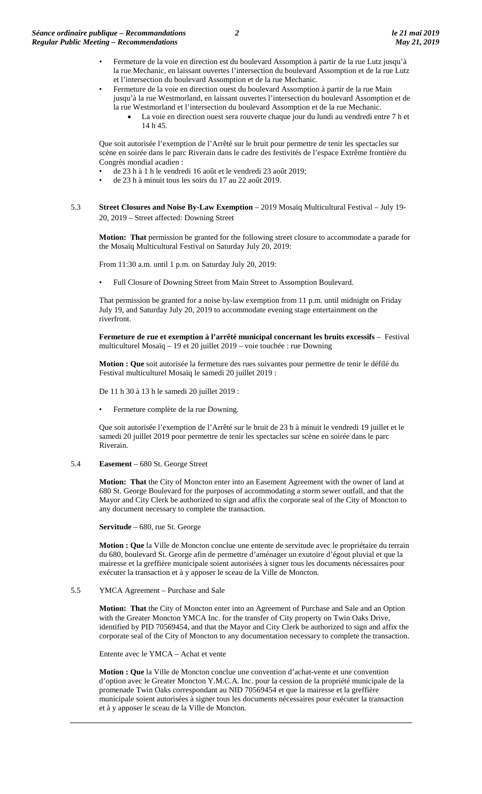- Fermeture de la voie en direction est du boulevard Assomption à partir de la rue Lutz jusqu'à la rue Mechanic, en laissant ouvertes l'intersection du boulevard Assomption et de la rue Lutz et l'intersection du boulevard Assomption et de la rue Mechanic.
- Fermeture de la voie en direction ouest du boulevard Assomption à partir de la rue Main jusqu'à la rue Westmorland, en laissant ouvertes l'intersection du boulevard Assomption et de la rue Westmorland et l'intersection du boulevard Assomption et de la rue Mechanic.
	- La voie en direction ouest sera rouverte chaque jour du lundi au vendredi entre 7 h et 14 h 45.

Que soit autorisée l'exemption de l'Arrêté sur le bruit pour permettre de tenir les spectacles sur scène en soirée dans le parc Riverain dans le cadre des festivités de l'espace Extrême frontière du Congrès mondial acadien :

- de 23 h à 1 h le vendredi 16 août et le vendredi 23 août 2019;
- de 23 h à minuit tous les soirs du 17 au 22 août 2019.
- 5.3 **Street Closures and Noise By-Law Exemption** 2019 Mosaïq Multicultural Festival July 19- 20, 2019 – Street affected: Downing Street

**Motion: That** permission be granted for the following street closure to accommodate a parade for the Mosaïq Multicultural Festival on Saturday July 20, 2019:

From 11:30 a.m. until 1 p.m. on Saturday July 20, 2019:

• Full Closure of Downing Street from Main Street to Assomption Boulevard.

That permission be granted for a noise by-law exemption from 11 p.m. until midnight on Friday July 19, and Saturday July 20, 2019 to accommodate evening stage entertainment on the riverfront.

**Fermeture de rue et exemption à l'arrêté municipal concernant les bruits excessifs** – Festival multiculturel Mosaïq – 19 et 20 juillet 2019 – voie touchée : rue Downing

**Motion : Que** soit autorisée la fermeture des rues suivantes pour permettre de tenir le défilé du Festival multiculturel Mosaïq le samedi 20 juillet 2019 :

De 11 h 30 à 13 h le samedi 20 juillet 2019 :

• Fermeture complète de la rue Downing.

Que soit autorisée l'exemption de l'Arrêté sur le bruit de 23 h à minuit le vendredi 19 juillet et le samedi 20 juillet 2019 pour permettre de tenir les spectacles sur scène en soirée dans le parc Riverain.

5.4 **Easement** – 680 St. George Street

**Motion: That** the City of Moncton enter into an Easement Agreement with the owner of land at 680 St. George Boulevard for the purposes of accommodating a storm sewer outfall, and that the Mayor and City Clerk be authorized to sign and affix the corporate seal of the City of Moncton to any document necessary to complete the transaction.

**Servitude** – 680, rue St. George

**Motion : Que** la Ville de Moncton conclue une entente de servitude avec le propriétaire du terrain du 680, boulevard St. George afin de permettre d'aménager un exutoire d'égout pluvial et que la mairesse et la greffière municipale soient autorisées à signer tous les documents nécessaires pour exécuter la transaction et à y apposer le sceau de la Ville de Moncton.

5.5 YMCA Agreement – Purchase and Sale

**Motion: That** the City of Moncton enter into an Agreement of Purchase and Sale and an Option with the Greater Moncton YMCA Inc. for the transfer of City property on Twin Oaks Drive, identified by PID 70569454, and that the Mayor and City Clerk be authorized to sign and affix the corporate seal of the City of Moncton to any documentation necessary to complete the transaction.

Entente avec le YMCA – Achat et vente

**Motion : Que** la Ville de Moncton conclue une convention d'achat-vente et une convention d'option avec le Greater Moncton Y.M.C.A. Inc. pour la cession de la propriété municipale de la promenade Twin Oaks correspondant au NID 70569454 et que la mairesse et la greffière municipale soient autorisées à signer tous les documents nécessaires pour exécuter la transaction et à y apposer le sceau de la Ville de Moncton.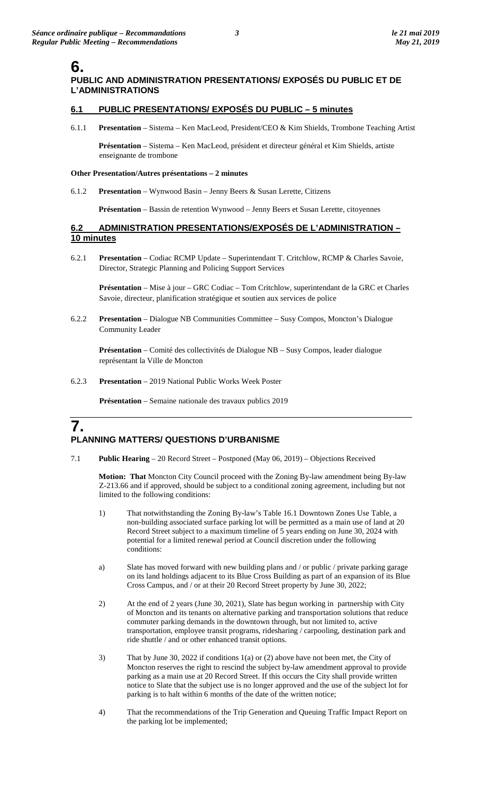# **6.**

### **PUBLIC AND ADMINISTRATION PRESENTATIONS/ EXPOSÉS DU PUBLIC ET DE L'ADMINISTRATIONS**

### **6.1 PUBLIC PRESENTATIONS/ EXPOSÉS DU PUBLIC – 5 minutes**

6.1.1 **Presentation** – Sistema – Ken MacLeod, President/CEO & Kim Shields, Trombone Teaching Artist

**Présentation** – Sistema – Ken MacLeod, président et directeur général et Kim Shields, artiste enseignante de trombone

#### **Other Presentation/Autres présentations – 2 minutes**

6.1.2 **Presentation** – Wynwood Basin – Jenny Beers & Susan Lerette, Citizens

**Présentation** – Bassin de retention Wynwood – Jenny Beers et Susan Lerette, citoyennes

#### **6.2 ADMINISTRATION PRESENTATIONS/EXPOSÉS DE L'ADMINISTRATION – 10 minutes**

6.2.1 **Presentation** – Codiac RCMP Update – Superintendant T. Critchlow, RCMP & Charles Savoie, Director, Strategic Planning and Policing Support Services

**Présentation** – Mise à jour – GRC Codiac – Tom Critchlow, superintendant de la GRC et Charles Savoie, directeur, planification stratégique et soutien aux services de police

6.2.2 **Presentation** – Dialogue NB Communities Committee – Susy Compos, Moncton's Dialogue Community Leader

**Présentation** – Comité des collectivités de Dialogue NB – Susy Compos, leader dialogue représentant la Ville de Moncton

6.2.3 **Presentation** – 2019 National Public Works Week Poster

**Présentation** – Semaine nationale des travaux publics 2019

## **7. PLANNING MATTERS/ QUESTIONS D'URBANISME**

7.1 **Public Hearing** – 20 Record Street – Postponed (May 06, 2019) – Objections Received

**Motion: That** Moncton City Council proceed with the Zoning By-law amendment being By-law Z-213.66 and if approved, should be subject to a conditional zoning agreement, including but not limited to the following conditions:

- 1) That notwithstanding the Zoning By-law's Table 16.1 Downtown Zones Use Table, a non-building associated surface parking lot will be permitted as a main use of land at 20 Record Street subject to a maximum timeline of 5 years ending on June 30, 2024 with potential for a limited renewal period at Council discretion under the following conditions:
- a) Slate has moved forward with new building plans and / or public / private parking garage on its land holdings adjacent to its Blue Cross Building as part of an expansion of its Blue Cross Campus, and / or at their 20 Record Street property by June 30, 2022;
- 2) At the end of 2 years (June 30, 2021), Slate has begun working in partnership with City of Moncton and its tenants on alternative parking and transportation solutions that reduce commuter parking demands in the downtown through, but not limited to, active transportation, employee transit programs, ridesharing / carpooling, destination park and ride shuttle / and or other enhanced transit options.
- 3) That by June 30, 2022 if conditions 1(a) or (2) above have not been met, the City of Moncton reserves the right to rescind the subject by-law amendment approval to provide parking as a main use at 20 Record Street. If this occurs the City shall provide written notice to Slate that the subject use is no longer approved and the use of the subject lot for parking is to halt within 6 months of the date of the written notice;
- 4) That the recommendations of the Trip Generation and Queuing Traffic Impact Report on the parking lot be implemented;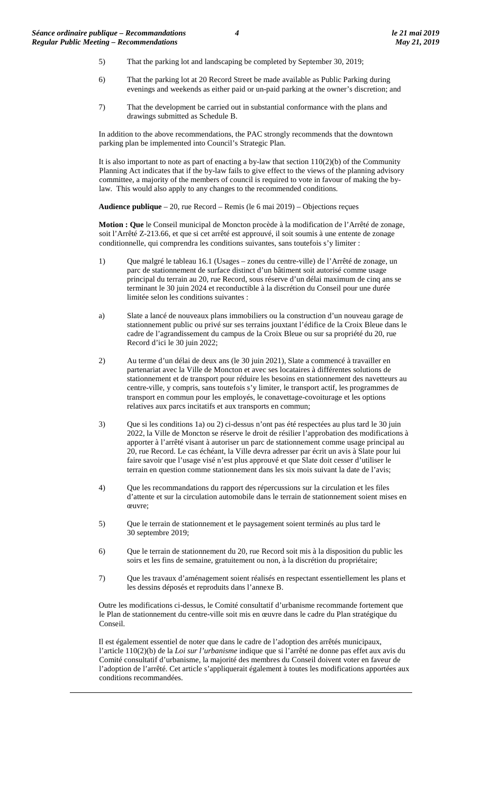- 5) That the parking lot and landscaping be completed by September 30, 2019;
- 6) That the parking lot at 20 Record Street be made available as Public Parking during evenings and weekends as either paid or un-paid parking at the owner's discretion; and
- 7) That the development be carried out in substantial conformance with the plans and drawings submitted as Schedule B.

In addition to the above recommendations, the PAC strongly recommends that the downtown parking plan be implemented into Council's Strategic Plan.

It is also important to note as part of enacting a by-law that section  $110(2)(b)$  of the Community Planning Act indicates that if the by-law fails to give effect to the views of the planning advisory committee, a majority of the members of council is required to vote in favour of making the bylaw. This would also apply to any changes to the recommended conditions.

**Audience publique** – 20, rue Record – Remis (le 6 mai 2019) – Objections reçues

**Motion : Que** le Conseil municipal de Moncton procède à la modification de l'Arrêté de zonage, soit l'Arrêté Z-213.66, et que si cet arrêté est approuvé, il soit soumis à une entente de zonage conditionnelle, qui comprendra les conditions suivantes, sans toutefois s'y limiter :

- 1) Que malgré le tableau 16.1 (Usages zones du centre-ville) de l'Arrêté de zonage, un parc de stationnement de surface distinct d'un bâtiment soit autorisé comme usage principal du terrain au 20, rue Record, sous réserve d'un délai maximum de cinq ans se terminant le 30 juin 2024 et reconductible à la discrétion du Conseil pour une durée limitée selon les conditions suivantes :
- a) Slate a lancé de nouveaux plans immobiliers ou la construction d'un nouveau garage de stationnement public ou privé sur ses terrains jouxtant l'édifice de la Croix Bleue dans le cadre de l'agrandissement du campus de la Croix Bleue ou sur sa propriété du 20, rue Record d'ici le 30 juin 2022;
- 2) Au terme d'un délai de deux ans (le 30 juin 2021), Slate a commencé à travailler en partenariat avec la Ville de Moncton et avec ses locataires à différentes solutions de stationnement et de transport pour réduire les besoins en stationnement des navetteurs au centre-ville, y compris, sans toutefois s'y limiter, le transport actif, les programmes de transport en commun pour les employés, le conavettage-covoiturage et les options relatives aux parcs incitatifs et aux transports en commun;
- 3) Que si les conditions 1a) ou 2) ci-dessus n'ont pas été respectées au plus tard le 30 juin 2022, la Ville de Moncton se réserve le droit de résilier l'approbation des modifications à apporter à l'arrêté visant à autoriser un parc de stationnement comme usage principal au 20, rue Record. Le cas échéant, la Ville devra adresser par écrit un avis à Slate pour lui faire savoir que l'usage visé n'est plus approuvé et que Slate doit cesser d'utiliser le terrain en question comme stationnement dans les six mois suivant la date de l'avis;
- 4) Que les recommandations du rapport des répercussions sur la circulation et les files d'attente et sur la circulation automobile dans le terrain de stationnement soient mises en œuvre;
- 5) Que le terrain de stationnement et le paysagement soient terminés au plus tard le 30 septembre 2019;
- 6) Que le terrain de stationnement du 20, rue Record soit mis à la disposition du public les soirs et les fins de semaine, gratuitement ou non, à la discrétion du propriétaire;
- 7) Que les travaux d'aménagement soient réalisés en respectant essentiellement les plans et les dessins déposés et reproduits dans l'annexe B.

Outre les modifications ci-dessus, le Comité consultatif d'urbanisme recommande fortement que le Plan de stationnement du centre-ville soit mis en œuvre dans le cadre du Plan stratégique du Conseil.

Il est également essentiel de noter que dans le cadre de l'adoption des arrêtés municipaux, l'article 110(2)(b) de la *Loi sur l'urbanisme* indique que si l'arrêté ne donne pas effet aux avis du Comité consultatif d'urbanisme, la majorité des membres du Conseil doivent voter en faveur de l'adoption de l'arrêté. Cet article s'appliquerait également à toutes les modifications apportées aux conditions recommandées.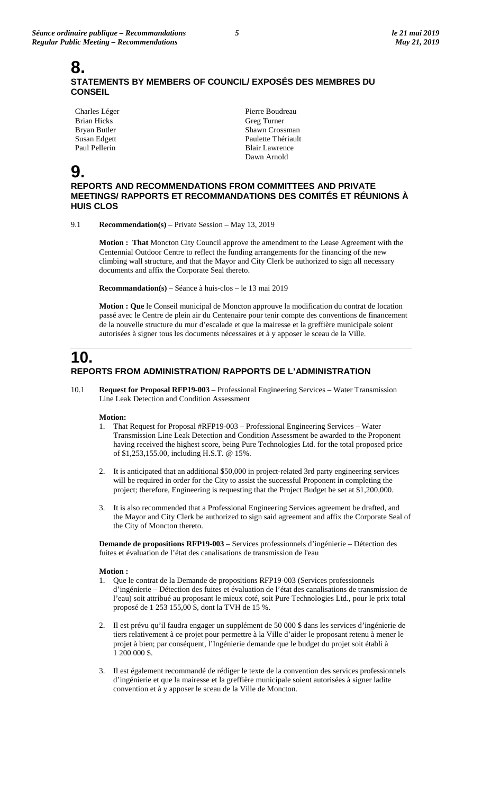### **8. STATEMENTS BY MEMBERS OF COUNCIL/ EXPOSÉS DES MEMBRES DU CONSEIL**

Charles Léger Brian Hicks Bryan Butler Susan Edgett Paul Pellerin

Pierre Boudreau Greg Turner Shawn Crossman Paulette Thériault Blair Lawrence Dawn Arnold

# **9.**

**REPORTS AND RECOMMENDATIONS FROM COMMITTEES AND PRIVATE MEETINGS/ RAPPORTS ET RECOMMANDATIONS DES COMITÉS ET RÉUNIONS À HUIS CLOS**

9.1 **Recommendation(s)** – Private Session – May 13, 2019

**Motion : That** Moncton City Council approve the amendment to the Lease Agreement with the Centennial Outdoor Centre to reflect the funding arrangements for the financing of the new climbing wall structure, and that the Mayor and City Clerk be authorized to sign all necessary documents and affix the Corporate Seal thereto.

**Recommandation(s)** – Séance à huis-clos – le 13 mai 2019

**Motion : Que** le Conseil municipal de Moncton approuve la modification du contrat de location passé avec le Centre de plein air du Centenaire pour tenir compte des conventions de financement de la nouvelle structure du mur d'escalade et que la mairesse et la greffière municipale soient autorisées à signer tous les documents nécessaires et à y apposer le sceau de la Ville.

## **10. REPORTS FROM ADMINISTRATION/ RAPPORTS DE L'ADMINISTRATION**

10.1 **Request for Proposal RFP19-003** – Professional Engineering Services – Water Transmission Line Leak Detection and Condition Assessment

#### **Motion:**

- 1. That Request for Proposal #RFP19-003 Professional Engineering Services Water Transmission Line Leak Detection and Condition Assessment be awarded to the Proponent having received the highest score, being Pure Technologies Ltd. for the total proposed price of \$1,253,155.00, including H.S.T. @ 15%.
- 2. It is anticipated that an additional \$50,000 in project-related 3rd party engineering services will be required in order for the City to assist the successful Proponent in completing the project; therefore, Engineering is requesting that the Project Budget be set at \$1,200,000.
- 3. It is also recommended that a Professional Engineering Services agreement be drafted, and the Mayor and City Clerk be authorized to sign said agreement and affix the Corporate Seal of the City of Moncton thereto.

**Demande de propositions RFP19-003** – Services professionnels d'ingénierie – Détection des fuites et évaluation de l'état des canalisations de transmission de l'eau

#### **Motion :**

- 1. Que le contrat de la Demande de propositions RFP19-003 (Services professionnels d'ingénierie – Détection des fuites et évaluation de l'état des canalisations de transmission de l'eau) soit attribué au proposant le mieux coté, soit Pure Technologies Ltd., pour le prix total proposé de 1 253 155,00 \$, dont la TVH de 15 %.
- 2. Il est prévu qu'il faudra engager un supplément de 50 000 \$ dans les services d'ingénierie de tiers relativement à ce projet pour permettre à la Ville d'aider le proposant retenu à mener le projet à bien; par conséquent, l'Ingénierie demande que le budget du projet soit établi à 1 200 000 \$.
- 3. Il est également recommandé de rédiger le texte de la convention des services professionnels d'ingénierie et que la mairesse et la greffière municipale soient autorisées à signer ladite convention et à y apposer le sceau de la Ville de Moncton.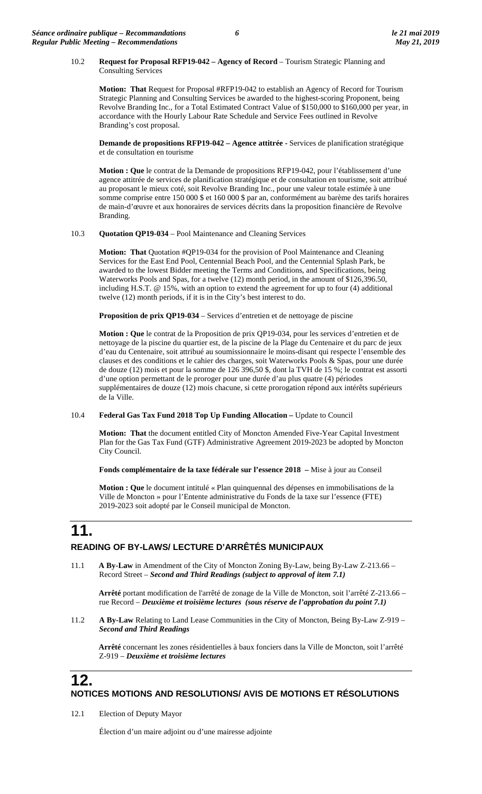#### 10.2 **Request for Proposal RFP19-042 – Agency of Record** – Tourism Strategic Planning and Consulting Services

**Motion: That** Request for Proposal #RFP19-042 to establish an Agency of Record for Tourism Strategic Planning and Consulting Services be awarded to the highest-scoring Proponent, being Revolve Branding Inc., for a Total Estimated Contract Value of \$150,000 to \$160,000 per year, in accordance with the Hourly Labour Rate Schedule and Service Fees outlined in Revolve Branding's cost proposal.

**Demande de propositions RFP19-042 – Agence attitrée -** Services de planification stratégique et de consultation en tourisme

**Motion : Que** le contrat de la Demande de propositions RFP19-042, pour l'établissement d'une agence attitrée de services de planification stratégique et de consultation en tourisme, soit attribué au proposant le mieux coté, soit Revolve Branding Inc., pour une valeur totale estimée à une somme comprise entre 150 000 \$ et 160 000 \$ par an, conformément au barème des tarifs horaires de main-d'œuvre et aux honoraires de services décrits dans la proposition financière de Revolve Branding.

#### 10.3 **Quotation QP19-034** – Pool Maintenance and Cleaning Services

**Motion: That** Quotation #QP19-034 for the provision of Pool Maintenance and Cleaning Services for the East End Pool, Centennial Beach Pool, and the Centennial Splash Park, be awarded to the lowest Bidder meeting the Terms and Conditions, and Specifications, being Waterworks Pools and Spas, for a twelve (12) month period, in the amount of \$126,396.50, including H.S.T. @ 15%, with an option to extend the agreement for up to four (4) additional twelve (12) month periods, if it is in the City's best interest to do.

**Proposition de prix QP19-034** – Services d'entretien et de nettoyage de piscine

**Motion : Que** le contrat de la Proposition de prix QP19-034, pour les services d'entretien et de nettoyage de la piscine du quartier est, de la piscine de la Plage du Centenaire et du parc de jeux d'eau du Centenaire, soit attribué au soumissionnaire le moins-disant qui respecte l'ensemble des clauses et des conditions et le cahier des charges, soit Waterworks Pools & Spas, pour une durée de douze (12) mois et pour la somme de 126 396,50 \$, dont la TVH de 15 %; le contrat est assorti d'une option permettant de le proroger pour une durée d'au plus quatre (4) périodes supplémentaires de douze (12) mois chacune, si cette prorogation répond aux intérêts supérieurs de la Ville.

#### 10.4 **Federal Gas Tax Fund 2018 Top Up Funding Allocation –** Update to Council

**Motion: That** the document entitled City of Moncton Amended Five-Year Capital Investment Plan for the Gas Tax Fund (GTF) Administrative Agreement 2019-2023 be adopted by Moncton City Council.

**Fonds complémentaire de la taxe fédérale sur l'essence 2018 –** Mise à jour au Conseil

**Motion : Que** le document intitulé « Plan quinquennal des dépenses en immobilisations de la Ville de Moncton » pour l'Entente administrative du Fonds de la taxe sur l'essence (FTE) 2019-2023 soit adopté par le Conseil municipal de Moncton.

# **11.**

#### **READING OF BY-LAWS/ LECTURE D'ARRÊTÉS MUNICIPAUX**

11.1 **A By-Law** in Amendment of the City of Moncton Zoning By-Law, being By-Law Z-213.66 – Record Street – *Second and Third Readings (subject to approval of item 7.1)*

**Arrêté** portant modification de l'arrêté de zonage de la Ville de Moncton, soit l'arrêté Z-213.66 – rue Record – *Deuxième et troisième lectures (sous réserve de l'approbation du point 7.1)*

11.2 **A By-Law** Relating to Land Lease Communities in the City of Moncton, Being By-Law Z-919 – *Second and Third Readings*

**Arrêté** concernant les zones résidentielles à baux fonciers dans la Ville de Moncton, soit l'arrêté Z-919 – *Deuxième et troisième lectures*

## **12. NOTICES MOTIONS AND RESOLUTIONS/ AVIS DE MOTIONS ET RÉSOLUTIONS**

12.1 Election of Deputy Mayor

Élection d'un maire adjoint ou d'une mairesse adjointe